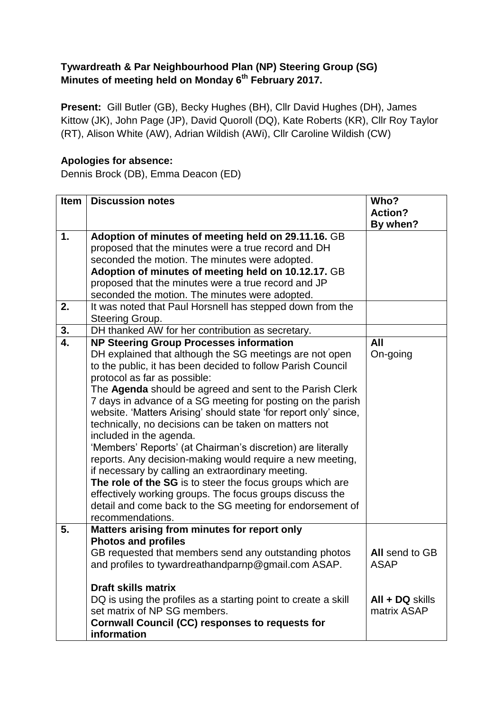## **Tywardreath & Par Neighbourhood Plan (NP) Steering Group (SG) Minutes of meeting held on Monday 6th February 2017.**

**Present:** Gill Butler (GB), Becky Hughes (BH), Cllr David Hughes (DH), James Kittow (JK), John Page (JP), David Quoroll (DQ), Kate Roberts (KR), Cllr Roy Taylor (RT), Alison White (AW), Adrian Wildish (AWi), Cllr Caroline Wildish (CW)

## **Apologies for absence:**

Dennis Brock (DB), Emma Deacon (ED)

| <b>Item</b> | <b>Discussion notes</b>                                          | Who?              |
|-------------|------------------------------------------------------------------|-------------------|
|             |                                                                  | <b>Action?</b>    |
|             |                                                                  | By when?          |
| 1.          | Adoption of minutes of meeting held on 29.11.16. GB              |                   |
|             | proposed that the minutes were a true record and DH              |                   |
|             | seconded the motion. The minutes were adopted.                   |                   |
|             | Adoption of minutes of meeting held on 10.12.17. GB              |                   |
|             | proposed that the minutes were a true record and JP              |                   |
|             | seconded the motion. The minutes were adopted.                   |                   |
| 2.          | It was noted that Paul Horsnell has stepped down from the        |                   |
|             | Steering Group.                                                  |                   |
| 3.          | DH thanked AW for her contribution as secretary.                 |                   |
| 4.          | <b>NP Steering Group Processes information</b>                   | All               |
|             | DH explained that although the SG meetings are not open          | On-going          |
|             | to the public, it has been decided to follow Parish Council      |                   |
|             | protocol as far as possible:                                     |                   |
|             | The Agenda should be agreed and sent to the Parish Clerk         |                   |
|             | 7 days in advance of a SG meeting for posting on the parish      |                   |
|             | website. 'Matters Arising' should state 'for report only' since, |                   |
|             | technically, no decisions can be taken on matters not            |                   |
|             | included in the agenda.                                          |                   |
|             | 'Members' Reports' (at Chairman's discretion) are literally      |                   |
|             | reports. Any decision-making would require a new meeting,        |                   |
|             | if necessary by calling an extraordinary meeting.                |                   |
|             | The role of the SG is to steer the focus groups which are        |                   |
|             | effectively working groups. The focus groups discuss the         |                   |
|             | detail and come back to the SG meeting for endorsement of        |                   |
| 5.          | recommendations.<br>Matters arising from minutes for report only |                   |
|             | <b>Photos and profiles</b>                                       |                   |
|             | GB requested that members send any outstanding photos            | All send to GB    |
|             | and profiles to tywardreathandparnp@gmail.com ASAP.              | <b>ASAP</b>       |
|             |                                                                  |                   |
|             | <b>Draft skills matrix</b>                                       |                   |
|             | DQ is using the profiles as a starting point to create a skill   | $All + DQ$ skills |
|             | set matrix of NP SG members.                                     | matrix ASAP       |
|             | <b>Cornwall Council (CC) responses to requests for</b>           |                   |
|             | information                                                      |                   |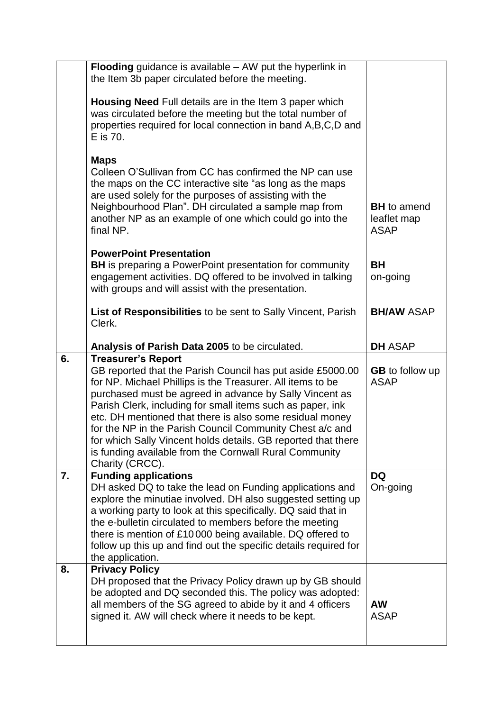| the Item 3b paper circulated before the meeting.<br>Housing Need Full details are in the Item 3 paper which<br>was circulated before the meeting but the total number of<br>properties required for local connection in band A, B, C, D and<br>E is 70.<br><b>Maps</b><br>Colleen O'Sullivan from CC has confirmed the NP can use<br>the maps on the CC interactive site "as long as the maps<br>are used solely for the purposes of assisting with the<br>Neighbourhood Plan". DH circulated a sample map from<br><b>BH</b> to amend<br>another NP as an example of one which could go into the<br>leaflet map<br>final NP.<br><b>ASAP</b><br><b>PowerPoint Presentation</b><br><b>BH</b><br><b>BH</b> is preparing a PowerPoint presentation for community<br>engagement activities. DQ offered to be involved in talking<br>on-going<br>with groups and will assist with the presentation.<br>List of Responsibilities to be sent to Sally Vincent, Parish<br><b>BH/AW ASAP</b><br>Clerk.<br><b>DH ASAP</b><br>Analysis of Parish Data 2005 to be circulated.<br><b>Treasurer's Report</b><br>6.<br>GB reported that the Parish Council has put aside £5000.00<br><b>GB</b> to follow up<br>for NP. Michael Phillips is the Treasurer. All items to be<br><b>ASAP</b><br>purchased must be agreed in advance by Sally Vincent as<br>Parish Clerk, including for small items such as paper, ink<br>etc. DH mentioned that there is also some residual money<br>for the NP in the Parish Council Community Chest a/c and<br>for which Sally Vincent holds details. GB reported that there<br>is funding available from the Cornwall Rural Community<br>Charity (CRCC).<br><b>Funding applications</b><br><b>DQ</b><br>7.<br>DH asked DQ to take the lead on Funding applications and<br>On-going<br>explore the minutiae involved. DH also suggested setting up<br>a working party to look at this specifically. DQ said that in<br>the e-bulletin circulated to members before the meeting<br>there is mention of £10000 being available. DQ offered to<br>follow up this up and find out the specific details required for<br>the application.<br><b>Privacy Policy</b><br>8.<br>DH proposed that the Privacy Policy drawn up by GB should<br>be adopted and DQ seconded this. The policy was adopted:<br>all members of the SG agreed to abide by it and 4 officers<br><b>AW</b><br>signed it. AW will check where it needs to be kept.<br><b>ASAP</b> |                                                                   |  |
|------------------------------------------------------------------------------------------------------------------------------------------------------------------------------------------------------------------------------------------------------------------------------------------------------------------------------------------------------------------------------------------------------------------------------------------------------------------------------------------------------------------------------------------------------------------------------------------------------------------------------------------------------------------------------------------------------------------------------------------------------------------------------------------------------------------------------------------------------------------------------------------------------------------------------------------------------------------------------------------------------------------------------------------------------------------------------------------------------------------------------------------------------------------------------------------------------------------------------------------------------------------------------------------------------------------------------------------------------------------------------------------------------------------------------------------------------------------------------------------------------------------------------------------------------------------------------------------------------------------------------------------------------------------------------------------------------------------------------------------------------------------------------------------------------------------------------------------------------------------------------------------------------------------------------------------------------------------------------------------------------------------------------------------------------------------------------------------------------------------------------------------------------------------------------------------------------------------------------------------------------------------------------------------------------------------------------------------------------------------------------------------------------------------------------------------------------------|-------------------------------------------------------------------|--|
|                                                                                                                                                                                                                                                                                                                                                                                                                                                                                                                                                                                                                                                                                                                                                                                                                                                                                                                                                                                                                                                                                                                                                                                                                                                                                                                                                                                                                                                                                                                                                                                                                                                                                                                                                                                                                                                                                                                                                                                                                                                                                                                                                                                                                                                                                                                                                                                                                                                            | <b>Flooding</b> guidance is available $-$ AW put the hyperlink in |  |
|                                                                                                                                                                                                                                                                                                                                                                                                                                                                                                                                                                                                                                                                                                                                                                                                                                                                                                                                                                                                                                                                                                                                                                                                                                                                                                                                                                                                                                                                                                                                                                                                                                                                                                                                                                                                                                                                                                                                                                                                                                                                                                                                                                                                                                                                                                                                                                                                                                                            |                                                                   |  |
|                                                                                                                                                                                                                                                                                                                                                                                                                                                                                                                                                                                                                                                                                                                                                                                                                                                                                                                                                                                                                                                                                                                                                                                                                                                                                                                                                                                                                                                                                                                                                                                                                                                                                                                                                                                                                                                                                                                                                                                                                                                                                                                                                                                                                                                                                                                                                                                                                                                            |                                                                   |  |
|                                                                                                                                                                                                                                                                                                                                                                                                                                                                                                                                                                                                                                                                                                                                                                                                                                                                                                                                                                                                                                                                                                                                                                                                                                                                                                                                                                                                                                                                                                                                                                                                                                                                                                                                                                                                                                                                                                                                                                                                                                                                                                                                                                                                                                                                                                                                                                                                                                                            |                                                                   |  |
|                                                                                                                                                                                                                                                                                                                                                                                                                                                                                                                                                                                                                                                                                                                                                                                                                                                                                                                                                                                                                                                                                                                                                                                                                                                                                                                                                                                                                                                                                                                                                                                                                                                                                                                                                                                                                                                                                                                                                                                                                                                                                                                                                                                                                                                                                                                                                                                                                                                            |                                                                   |  |
|                                                                                                                                                                                                                                                                                                                                                                                                                                                                                                                                                                                                                                                                                                                                                                                                                                                                                                                                                                                                                                                                                                                                                                                                                                                                                                                                                                                                                                                                                                                                                                                                                                                                                                                                                                                                                                                                                                                                                                                                                                                                                                                                                                                                                                                                                                                                                                                                                                                            |                                                                   |  |
|                                                                                                                                                                                                                                                                                                                                                                                                                                                                                                                                                                                                                                                                                                                                                                                                                                                                                                                                                                                                                                                                                                                                                                                                                                                                                                                                                                                                                                                                                                                                                                                                                                                                                                                                                                                                                                                                                                                                                                                                                                                                                                                                                                                                                                                                                                                                                                                                                                                            |                                                                   |  |
|                                                                                                                                                                                                                                                                                                                                                                                                                                                                                                                                                                                                                                                                                                                                                                                                                                                                                                                                                                                                                                                                                                                                                                                                                                                                                                                                                                                                                                                                                                                                                                                                                                                                                                                                                                                                                                                                                                                                                                                                                                                                                                                                                                                                                                                                                                                                                                                                                                                            |                                                                   |  |
|                                                                                                                                                                                                                                                                                                                                                                                                                                                                                                                                                                                                                                                                                                                                                                                                                                                                                                                                                                                                                                                                                                                                                                                                                                                                                                                                                                                                                                                                                                                                                                                                                                                                                                                                                                                                                                                                                                                                                                                                                                                                                                                                                                                                                                                                                                                                                                                                                                                            |                                                                   |  |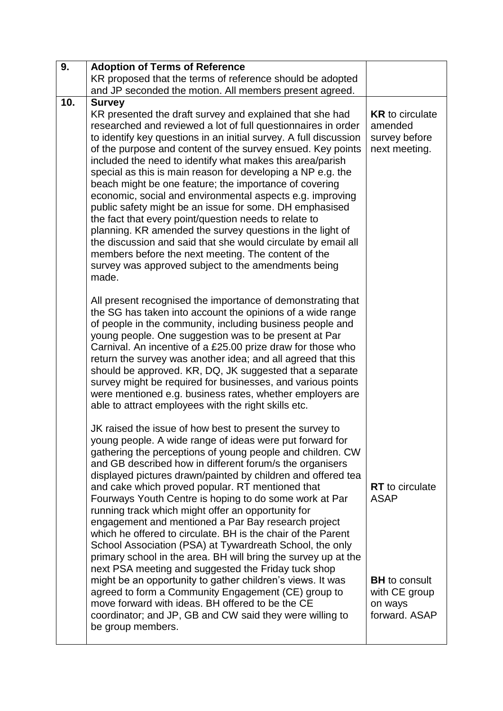| 9.  | <b>Adoption of Terms of Reference</b>                                                                                                                                                                                                                                                                                                                                                                                                                                                                                                                                                                                                                                                                                                                                                                                                                                                                                                                                                                                                                    |                                                                                                            |
|-----|----------------------------------------------------------------------------------------------------------------------------------------------------------------------------------------------------------------------------------------------------------------------------------------------------------------------------------------------------------------------------------------------------------------------------------------------------------------------------------------------------------------------------------------------------------------------------------------------------------------------------------------------------------------------------------------------------------------------------------------------------------------------------------------------------------------------------------------------------------------------------------------------------------------------------------------------------------------------------------------------------------------------------------------------------------|------------------------------------------------------------------------------------------------------------|
|     | KR proposed that the terms of reference should be adopted                                                                                                                                                                                                                                                                                                                                                                                                                                                                                                                                                                                                                                                                                                                                                                                                                                                                                                                                                                                                |                                                                                                            |
|     | and JP seconded the motion. All members present agreed.                                                                                                                                                                                                                                                                                                                                                                                                                                                                                                                                                                                                                                                                                                                                                                                                                                                                                                                                                                                                  |                                                                                                            |
| 10. | <b>Survey</b><br>KR presented the draft survey and explained that she had<br>researched and reviewed a lot of full questionnaires in order<br>to identify key questions in an initial survey. A full discussion<br>of the purpose and content of the survey ensued. Key points<br>included the need to identify what makes this area/parish<br>special as this is main reason for developing a NP e.g. the<br>beach might be one feature; the importance of covering<br>economic, social and environmental aspects e.g. improving<br>public safety might be an issue for some. DH emphasised<br>the fact that every point/question needs to relate to<br>planning. KR amended the survey questions in the light of<br>the discussion and said that she would circulate by email all<br>members before the next meeting. The content of the<br>survey was approved subject to the amendments being<br>made.<br>All present recognised the importance of demonstrating that                                                                                | <b>KR</b> to circulate<br>amended<br>survey before<br>next meeting.                                        |
|     | the SG has taken into account the opinions of a wide range<br>of people in the community, including business people and<br>young people. One suggestion was to be present at Par<br>Carnival. An incentive of a £25.00 prize draw for those who<br>return the survey was another idea; and all agreed that this<br>should be approved. KR, DQ, JK suggested that a separate<br>survey might be required for businesses, and various points<br>were mentioned e.g. business rates, whether employers are<br>able to attract employees with the right skills etc.                                                                                                                                                                                                                                                                                                                                                                                                                                                                                          |                                                                                                            |
|     | JK raised the issue of how best to present the survey to<br>young people. A wide range of ideas were put forward for<br>gathering the perceptions of young people and children. CW<br>and GB described how in different forum/s the organisers<br>displayed pictures drawn/painted by children and offered tea<br>and cake which proved popular. RT mentioned that<br>Fourways Youth Centre is hoping to do some work at Par<br>running track which might offer an opportunity for<br>engagement and mentioned a Par Bay research project<br>which he offered to circulate. BH is the chair of the Parent<br>School Association (PSA) at Tywardreath School, the only<br>primary school in the area. BH will bring the survey up at the<br>next PSA meeting and suggested the Friday tuck shop<br>might be an opportunity to gather children's views. It was<br>agreed to form a Community Engagement (CE) group to<br>move forward with ideas. BH offered to be the CE<br>coordinator; and JP, GB and CW said they were willing to<br>be group members. | <b>RT</b> to circulate<br><b>ASAP</b><br><b>BH</b> to consult<br>with CE group<br>on ways<br>forward. ASAP |